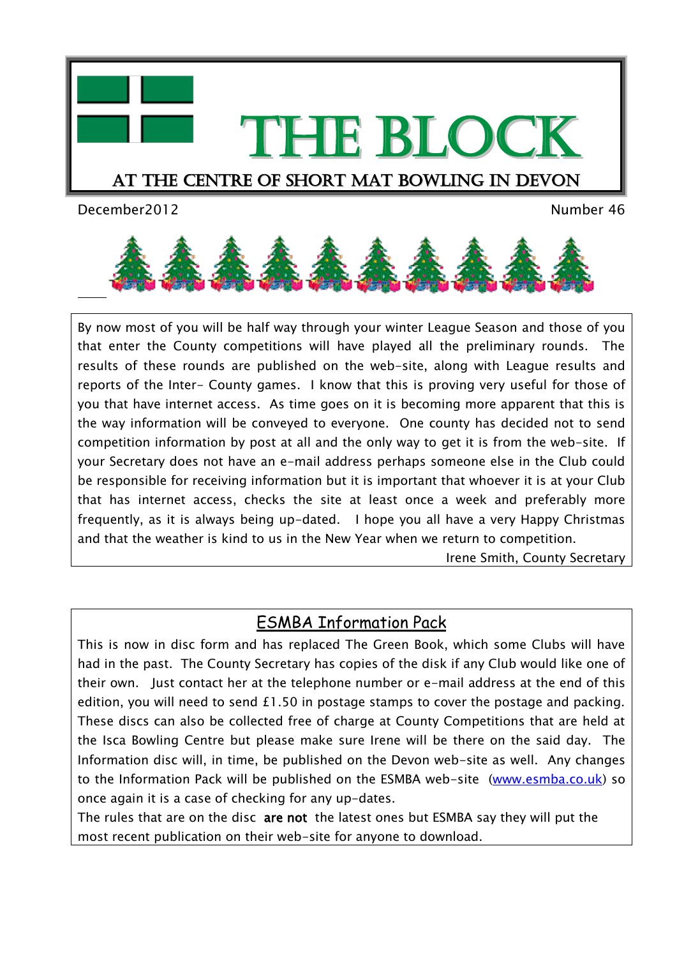



 $\overline{a}$ 

By now most of you will be half way through your winter League Season and those of you that enter the County competitions will have played all the preliminary rounds. The results of these rounds are published on the web-site, along with League results and reports of the Inter- County games. I know that this is proving very useful for those of you that have internet access. As time goes on it is becoming more apparent that this is the way information will be conveyed to everyone. One county has decided not to send competition information by post at all and the only way to get it is from the web-site. If your Secretary does not have an e-mail address perhaps someone else in the Club could be responsible for receiving information but it is important that whoever it is at your Club that has internet access, checks the site at least once a week and preferably more frequently, as it is always being up-dated. I hope you all have a very Happy Christmas and that the weather is kind to us in the New Year when we return to competition.

Irene Smith, County Secretary

## ESMBA Information Pack

This is now in disc form and has replaced The Green Book, which some Clubs will have had in the past. The County Secretary has copies of the disk if any Club would like one of their own. Just contact her at the telephone number or e-mail address at the end of this edition, you will need to send £1.50 in postage stamps to cover the postage and packing. These discs can also be collected free of charge at County Competitions that are held at the Isca Bowling Centre but please make sure Irene will be there on the said day. The Information disc will, in time, be published on the Devon web-site as well. Any changes to the Information Pack will be published on the ESMBA web-site [\(www.esmba.co.uk\)](http://www.esmba.co.uk/) so once again it is a case of checking for any up-dates.

The rules that are on the disc are not the latest ones but ESMBA say they will put the most recent publication on their web-site for anyone to download.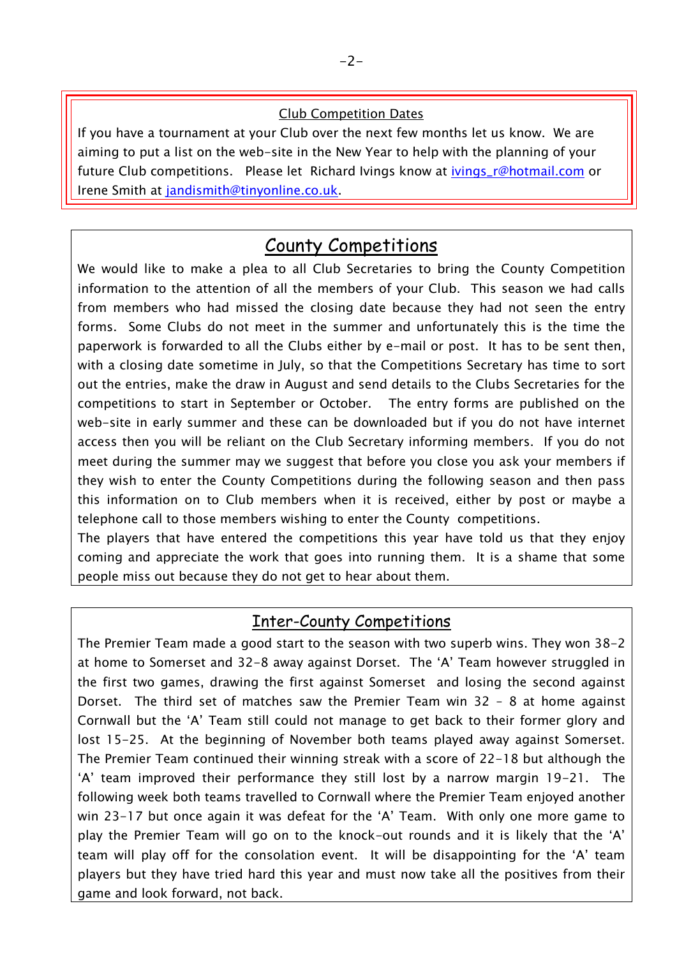#### Club Competition Dates

If you have a tournament at your Club over the next few months let us know. We are aiming to put a list on the web-site in the New Year to help with the planning of your future Club competitions. Please let Richard Ivings know at [ivings\\_r@hotmail.com](mailto:ivings_r@hotmail.com) or Irene Smith at [jandismith@tinyonline.co.uk.](mailto:jandismith@tinyonline.co.uk)

# County Competitions

We would like to make a plea to all Club Secretaries to bring the County Competition information to the attention of all the members of your Club. This season we had calls from members who had missed the closing date because they had not seen the entry forms. Some Clubs do not meet in the summer and unfortunately this is the time the paperwork is forwarded to all the Clubs either by e-mail or post. It has to be sent then, with a closing date sometime in July, so that the Competitions Secretary has time to sort out the entries, make the draw in August and send details to the Clubs Secretaries for the competitions to start in September or October. The entry forms are published on the web-site in early summer and these can be downloaded but if you do not have internet access then you will be reliant on the Club Secretary informing members. If you do not meet during the summer may we suggest that before you close you ask your members if they wish to enter the County Competitions during the following season and then pass this information on to Club members when it is received, either by post or maybe a telephone call to those members wishing to enter the County competitions.

The players that have entered the competitions this year have told us that they enjoy coming and appreciate the work that goes into running them. It is a shame that some people miss out because they do not get to hear about them.

### Inter-County Competitions

The Premier Team made a good start to the season with two superb wins. They won 38-2 at home to Somerset and 32-8 away against Dorset. The "A" Team however struggled in the first two games, drawing the first against Somerset and losing the second against Dorset. The third set of matches saw the Premier Team win 32 – 8 at home against Cornwall but the "A" Team still could not manage to get back to their former glory and lost 15-25. At the beginning of November both teams played away against Somerset. The Premier Team continued their winning streak with a score of 22-18 but although the "A" team improved their performance they still lost by a narrow margin 19-21. The following week both teams travelled to Cornwall where the Premier Team enjoyed another win 23-17 but once again it was defeat for the 'A' Team. With only one more game to play the Premier Team will go on to the knock-out rounds and it is likely that the "A" team will play off for the consolation event. It will be disappointing for the "A" team players but they have tried hard this year and must now take all the positives from their game and look forward, not back.